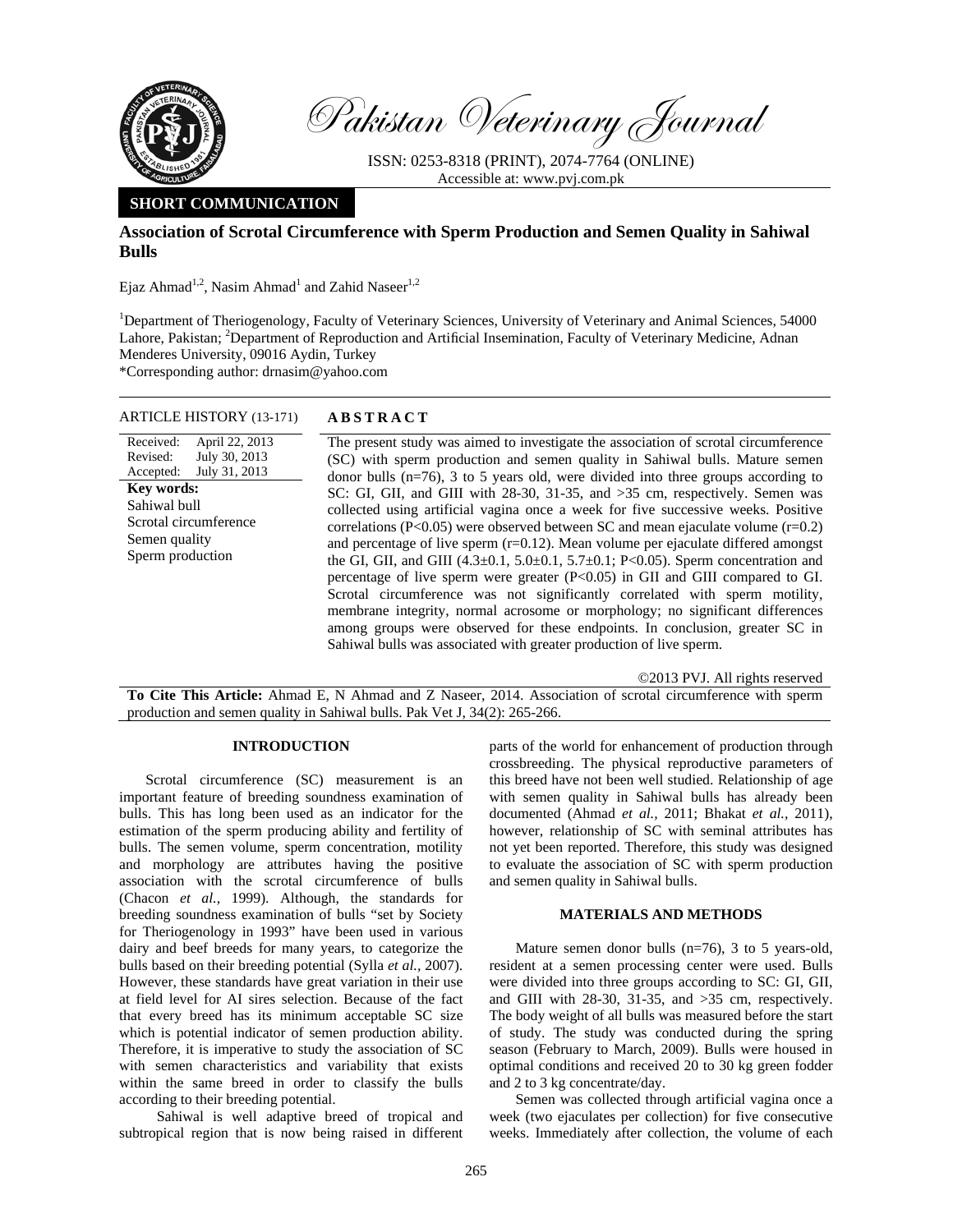

Pakistan Veterinary Journal

ISSN: 0253-8318 (PRINT), 2074-7764 (ONLINE) Accessible at: www.pvj.com.pk

# **SHORT COMMUNICATION**

## **Association of Scrotal Circumference with Sperm Production and Semen Quality in Sahiwal Bulls**

Ejaz Ahmad<sup>1,2</sup>, Nasim Ahmad<sup>1</sup> and Zahid Naseer<sup>1,2</sup>

<sup>1</sup>Department of Theriogenology, Faculty of Veterinary Sciences, University of Veterinary and Animal Sciences, 54000 Lahore, Pakistan; <sup>2</sup>Department of Reproduction and Artificial Insemination, Faculty of Veterinary Medicine, Adnan Menderes University, 09016 Aydin, Turkey

\*Corresponding author: drnasim@yahoo.com

### ARTICLE HISTORY (13-171) **ABSTRACT**

Received: Revised: Accepted: April 22, 2013 July 30, 2013 July 31, 2013 **Key words:**  Sahiwal bull Scrotal circumference Semen quality Sperm production

 The present study was aimed to investigate the association of scrotal circumference (SC) with sperm production and semen quality in Sahiwal bulls. Mature semen donor bulls  $(n=76)$ , 3 to 5 years old, were divided into three groups according to SC: GI, GII, and GIII with 28-30, 31-35, and >35 cm, respectively. Semen was collected using artificial vagina once a week for five successive weeks. Positive correlations (P<0.05) were observed between SC and mean ejaculate volume  $(r=0.2)$ and percentage of live sperm  $(r=0.12)$ . Mean volume per ejaculate differed amongst the GI, GII, and GIII  $(4.3 \pm 0.1, 5.0 \pm 0.1, 5.7 \pm 0.1; P < 0.05)$ . Sperm concentration and percentage of live sperm were greater (P<0.05) in GII and GIII compared to GI. Scrotal circumference was not significantly correlated with sperm motility, membrane integrity, normal acrosome or morphology; no significant differences among groups were observed for these endpoints. In conclusion, greater SC in Sahiwal bulls was associated with greater production of live sperm.

©2013 PVJ. All rights reserved

**To Cite This Article:** Ahmad E, N Ahmad and Z Naseer, 2014. Association of scrotal circumference with sperm production and semen quality in Sahiwal bulls. Pak Vet J, 34(2): 265-266.

#### **INTRODUCTION**

Scrotal circumference (SC) measurement is an important feature of breeding soundness examination of bulls. This has long been used as an indicator for the estimation of the sperm producing ability and fertility of bulls. The semen volume, sperm concentration, motility and morphology are attributes having the positive association with the scrotal circumference of bulls (Chacon *et al.,* 1999). Although, the standards for breeding soundness examination of bulls "set by Society for Theriogenology in 1993" have been used in various dairy and beef breeds for many years, to categorize the bulls based on their breeding potential (Sylla *et al.,* 2007). However, these standards have great variation in their use at field level for AI sires selection. Because of the fact that every breed has its minimum acceptable SC size which is potential indicator of semen production ability. Therefore, it is imperative to study the association of SC with semen characteristics and variability that exists within the same breed in order to classify the bulls according to their breeding potential.

 Sahiwal is well adaptive breed of tropical and subtropical region that is now being raised in different parts of the world for enhancement of production through crossbreeding. The physical reproductive parameters of this breed have not been well studied. Relationship of age with semen quality in Sahiwal bulls has already been documented (Ahmad *et al.,* 2011; Bhakat *et al.,* 2011), however, relationship of SC with seminal attributes has not yet been reported. Therefore, this study was designed to evaluate the association of SC with sperm production and semen quality in Sahiwal bulls.

### **MATERIALS AND METHODS**

Mature semen donor bulls (n=76), 3 to 5 years-old, resident at a semen processing center were used. Bulls were divided into three groups according to SC: GI, GII, and GIII with 28-30, 31-35, and >35 cm, respectively. The body weight of all bulls was measured before the start of study. The study was conducted during the spring season (February to March, 2009). Bulls were housed in optimal conditions and received 20 to 30 kg green fodder and 2 to 3 kg concentrate/day.

Semen was collected through artificial vagina once a week (two ejaculates per collection) for five consecutive weeks. Immediately after collection, the volume of each